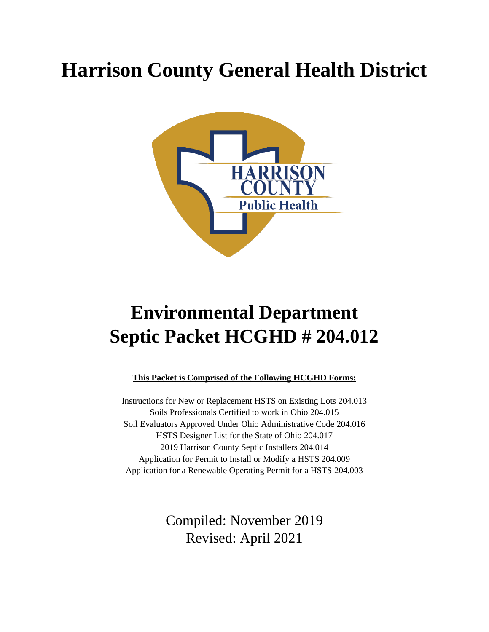# **Harrison County General Health District**



# **Environmental Department Septic Packet HCGHD # 204.012**

### **This Packet is Comprised of the Following HCGHD Forms:**

Instructions for New or Replacement HSTS on Existing Lots 204.013 Soils Professionals Certified to work in Ohio 204.015 Soil Evaluators Approved Under Ohio Administrative Code 204.016 HSTS Designer List for the State of Ohio 204.017 2019 Harrison County Septic Installers 204.014 Application for Permit to Install or Modify a HSTS 204.009 Application for a Renewable Operating Permit for a HSTS 204.003

> Compiled: November 2019 Revised: April 2021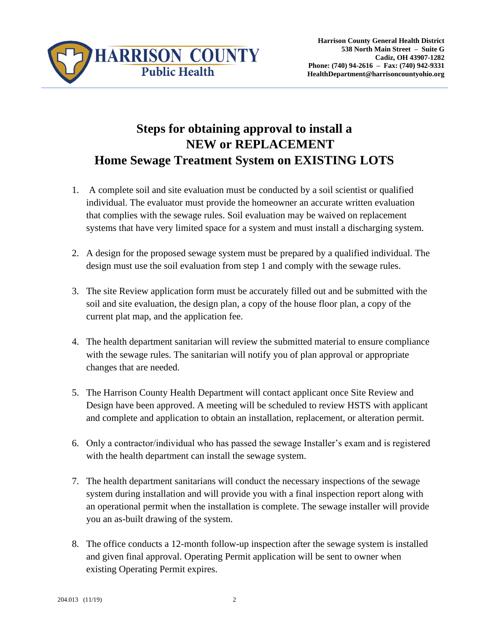

### **Steps for obtaining approval to install a NEW or REPLACEMENT Home Sewage Treatment System on EXISTING LOTS**

- 1. A complete soil and site evaluation must be conducted by a soil scientist or qualified individual. The evaluator must provide the homeowner an accurate written evaluation that complies with the sewage rules. Soil evaluation may be waived on replacement systems that have very limited space for a system and must install a discharging system.
- 2. A design for the proposed sewage system must be prepared by a qualified individual. The design must use the soil evaluation from step 1 and comply with the sewage rules.
- 3. The site Review application form must be accurately filled out and be submitted with the soil and site evaluation, the design plan, a copy of the house floor plan, a copy of the current plat map, and the application fee.
- 4. The health department sanitarian will review the submitted material to ensure compliance with the sewage rules. The sanitarian will notify you of plan approval or appropriate changes that are needed.
- 5. The Harrison County Health Department will contact applicant once Site Review and Design have been approved. A meeting will be scheduled to review HSTS with applicant and complete and application to obtain an installation, replacement, or alteration permit.
- 6. Only a contractor/individual who has passed the sewage Installer's exam and is registered with the health department can install the sewage system.
- 7. The health department sanitarians will conduct the necessary inspections of the sewage system during installation and will provide you with a final inspection report along with an operational permit when the installation is complete. The sewage installer will provide you an as-built drawing of the system.
- 8. The office conducts a 12-month follow-up inspection after the sewage system is installed and given final approval. Operating Permit application will be sent to owner when existing Operating Permit expires.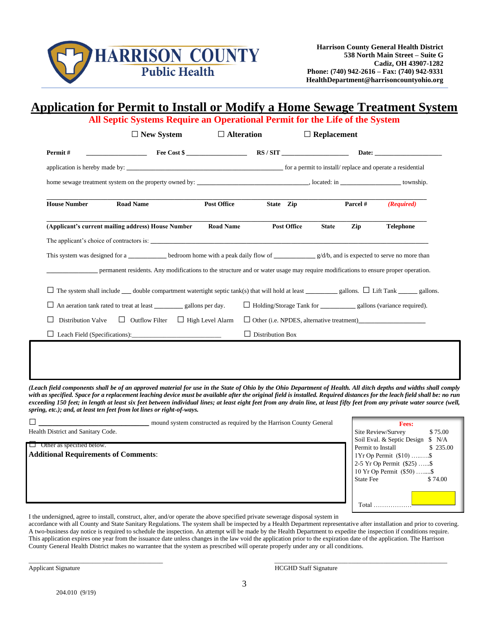

### **Application for Permit to Install or Modify a Home Sewage Treatment System**

|                                                     | $\Box$ New System                                                                                                                                            | $\Box$ Alteration       |                    | All Septic Systems Require an Operational Permit for the Life of the System<br>$\Box$ Replacement |                  |
|-----------------------------------------------------|--------------------------------------------------------------------------------------------------------------------------------------------------------------|-------------------------|--------------------|---------------------------------------------------------------------------------------------------|------------------|
| Permit#                                             |                                                                                                                                                              |                         |                    |                                                                                                   |                  |
|                                                     |                                                                                                                                                              |                         |                    |                                                                                                   |                  |
|                                                     |                                                                                                                                                              |                         |                    |                                                                                                   |                  |
| <b>House Number</b>                                 | <b>Road Name</b>                                                                                                                                             | <b>Post Office</b>      | State Zip          | Parcel #                                                                                          | (Required)       |
|                                                     | (Applicant's current mailing address) House Number                                                                                                           | <b>Road Name</b>        | <b>Post Office</b> | Zip<br><b>State</b>                                                                               | <b>Telephone</b> |
|                                                     |                                                                                                                                                              |                         |                    |                                                                                                   |                  |
|                                                     | This system was designed for a <u>section</u> bedroom home with a peak daily flow of $g/d/b$ , and is expected to serve no more than                         |                         |                    |                                                                                                   |                  |
|                                                     | permanent residents. Any modifications to the structure and or water usage may require modifications to ensure proper operation.                             |                         |                    |                                                                                                   |                  |
|                                                     | $\Box$ The system shall include $\Box$ double compartment watertight septic tank(s) that will hold at least $\Box$ gallons. $\Box$ Lift Tank $\Box$ gallons. |                         |                    |                                                                                                   |                  |
|                                                     |                                                                                                                                                              |                         |                    |                                                                                                   |                  |
| Distribution Valve $\Box$ Outflow Filter<br>$\perp$ |                                                                                                                                                              | $\Box$ High Level Alarm |                    |                                                                                                   |                  |
|                                                     | Leach Field (Specifications):                                                                                                                                | $\Box$ Distribution Box |                    |                                                                                                   |                  |

*(Leach field components shall be of an approved material for use in the State of Ohio by the Ohio Department of Health. All ditch depths and widths shall comply*  with as specified. Space for a replacement leaching device must be available after the original field is installed. Required distances for the leach field shall be: no run *exceeding 150 feet; in length at least six feet between individual lines; at least eight feet from any drain line, at least fifty feet from any private water source (well, spring, etc.); and, at least ten feet from lot lines or right-of-ways.* 

**□ \_\_\_\_\_\_\_\_\_\_\_\_\_\_\_\_\_\_\_\_\_\_\_\_** mound system constructed as required by the Harrison County General

Health District and Sanitary Code.

□ Other as specified below. **Additional Requirements of Comments**:

| Fees:                             |          |
|-----------------------------------|----------|
| Site Review/Survey                | \$75.00  |
| Soil Eval. & Septic Design \$ N/A |          |
| Permit to Install                 | \$235.00 |
| 1Yr Op Permit (\$10) \$           |          |
| 2-5 Yr Op Permit (\$25) \$        |          |
| 10 Yr Op Permit (\$50) \$         |          |
| State Fee                         | \$74.00  |
|                                   |          |
|                                   |          |
| $\rm Total$                       |          |

I the undersigned, agree to install, construct, alter, and/or operate the above specified private sewerage disposal system in

accordance with all County and State Sanitary Regulations. The system shall be inspected by a Health Department representative after installation and prior to covering. A two-business day notice is required to schedule the inspection. An attempt will be made by the Health Department to expedite the inspection if conditions require. This application expires one year from the issuance date unless changes in the law void the application prior to the expiration date of the application. The Harrison County General Health District makes no warrantee that the system as prescribed will operate properly under any or all conditions.

Applicant Signature **HCGHD** Staff Signature

 $\_$  ,  $\_$  ,  $\_$  ,  $\_$  ,  $\_$  ,  $\_$  ,  $\_$  ,  $\_$  ,  $\_$  ,  $\_$  ,  $\_$  ,  $\_$  ,  $\_$  ,  $\_$  ,  $\_$  ,  $\_$  ,  $\_$  ,  $\_$  ,  $\_$  ,  $\_$  ,  $\_$  ,  $\_$  ,  $\_$  ,  $\_$  ,  $\_$  ,  $\_$  ,  $\_$  ,  $\_$  ,  $\_$  ,  $\_$  ,  $\_$  ,  $\_$  ,  $\_$  ,  $\_$  ,  $\_$  ,  $\_$  ,  $\_$  ,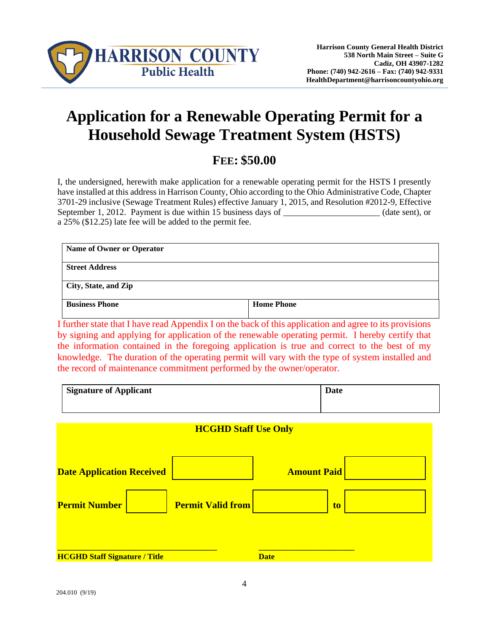

## **Application for a Renewable Operating Permit for a Household Sewage Treatment System (HSTS)**

### **FEE: \$50.00**

I, the undersigned, herewith make application for a renewable operating permit for the HSTS I presently have installed at this address in Harrison County, Ohio according to the Ohio Administrative Code, Chapter 3701-29 inclusive (Sewage Treatment Rules) effective January 1, 2015, and Resolution #2012-9, Effective September 1, 2012. Payment is due within 15 business days of  $\qquad \qquad$  (date sent), or a 25% (\$12.25) late fee will be added to the permit fee.

| Name of Owner or Operator |                   |
|---------------------------|-------------------|
| <b>Street Address</b>     |                   |
| City, State, and Zip      |                   |
| <b>Business Phone</b>     | <b>Home Phone</b> |

I further state that I have read Appendix I on the back of this application and agree to its provisions by signing and applying for application of the renewable operating permit. I hereby certify that the information contained in the foregoing application is true and correct to the best of my knowledge. The duration of the operating permit will vary with the type of system installed and the record of maintenance commitment performed by the owner/operator.

| <b>Signature of Applicant</b> | Date |
|-------------------------------|------|
|                               |      |

| <b>Amount Paid</b> |             |
|--------------------|-------------|
| to                 |             |
|                    |             |
|                    | <b>Date</b> |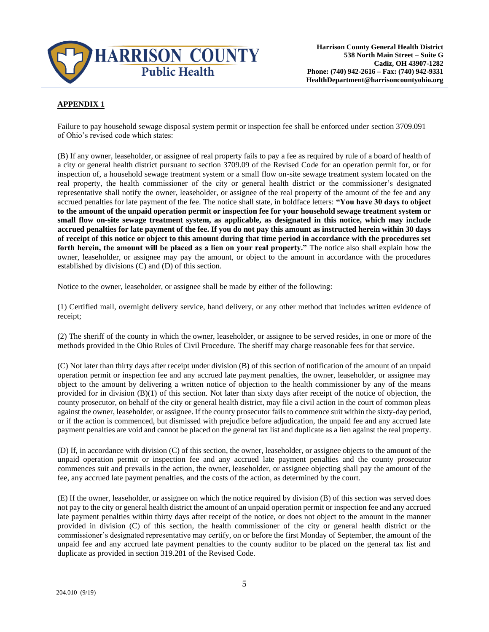

#### **APPENDIX 1**

Failure to pay household sewage disposal system permit or inspection fee shall be enforced under section 3709.091 of Ohio's revised code which states:

(B) If any owner, leaseholder, or assignee of real property fails to pay a fee as required by rule of a board of health of a city or general health district pursuant to section 3709.09 of the Revised Code for an operation permit for, or for inspection of, a household sewage treatment system or a small flow on-site sewage treatment system located on the real property, the health commissioner of the city or general health district or the commissioner's designated representative shall notify the owner, leaseholder, or assignee of the real property of the amount of the fee and any accrued penalties for late payment of the fee. The notice shall state, in boldface letters: **"You have 30 days to object to the amount of the unpaid operation permit or inspection fee for your household sewage treatment system or small flow on-site sewage treatment system, as applicable, as designated in this notice, which may include accrued penalties for late payment of the fee. If you do not pay this amount as instructed herein within 30 days of receipt of this notice or object to this amount during that time period in accordance with the procedures set forth herein, the amount will be placed as a lien on your real property."** The notice also shall explain how the owner, leaseholder, or assignee may pay the amount, or object to the amount in accordance with the procedures established by divisions (C) and (D) of this section.

Notice to the owner, leaseholder, or assignee shall be made by either of the following:

(1) Certified mail, overnight delivery service, hand delivery, or any other method that includes written evidence of receipt;

(2) The sheriff of the county in which the owner, leaseholder, or assignee to be served resides, in one or more of the methods provided in the Ohio Rules of Civil Procedure. The sheriff may charge reasonable fees for that service.

(C) Not later than thirty days after receipt under division (B) of this section of notification of the amount of an unpaid operation permit or inspection fee and any accrued late payment penalties, the owner, leaseholder, or assignee may object to the amount by delivering a written notice of objection to the health commissioner by any of the means provided for in division  $(B)(1)$  of this section. Not later than sixty days after receipt of the notice of objection, the county prosecutor, on behalf of the city or general health district, may file a civil action in the court of common pleas against the owner, leaseholder, or assignee. If the county prosecutor fails to commence suit within the sixty-day period, or if the action is commenced, but dismissed with prejudice before adjudication, the unpaid fee and any accrued late payment penalties are void and cannot be placed on the general tax list and duplicate as a lien against the real property.

(D) If, in accordance with division (C) of this section, the owner, leaseholder, or assignee objects to the amount of the unpaid operation permit or inspection fee and any accrued late payment penalties and the county prosecutor commences suit and prevails in the action, the owner, leaseholder, or assignee objecting shall pay the amount of the fee, any accrued late payment penalties, and the costs of the action, as determined by the court.

(E) If the owner, leaseholder, or assignee on which the notice required by division (B) of this section was served does not pay to the city or general health district the amount of an unpaid operation permit or inspection fee and any accrued late payment penalties within thirty days after receipt of the notice, or does not object to the amount in the manner provided in division (C) of this section, the health commissioner of the city or general health district or the commissioner's designated representative may certify, on or before the first Monday of September, the amount of the unpaid fee and any accrued late payment penalties to the county auditor to be placed on the general tax list and duplicate as provided in section 319.281 of the Revised Code.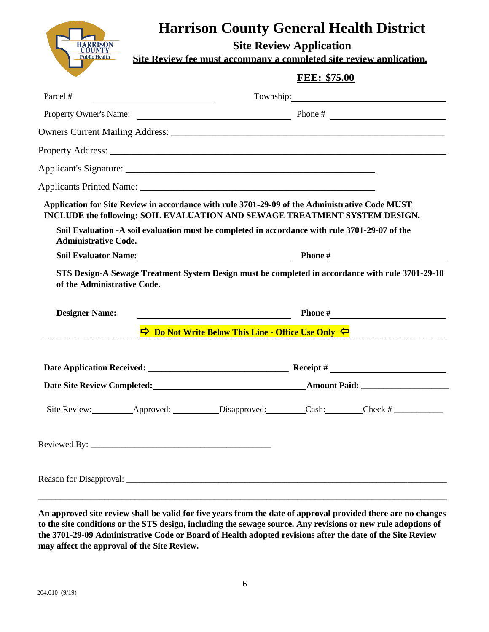

## **Harrison County General Health District**

**Site Review Application**

**Site Review fee must accompany a completed site review application.**

|                                                                                           | <b>FEE: \$75.00</b>                                                                                                                                                                                                                                                                                                                                                                                                                                                                                                      |
|-------------------------------------------------------------------------------------------|--------------------------------------------------------------------------------------------------------------------------------------------------------------------------------------------------------------------------------------------------------------------------------------------------------------------------------------------------------------------------------------------------------------------------------------------------------------------------------------------------------------------------|
| Parcel #                                                                                  |                                                                                                                                                                                                                                                                                                                                                                                                                                                                                                                          |
|                                                                                           | Property Owner's Name: Phone # Phone # Phone # Phone # Phone # Phone # Phone # Phone # Phone # Phone # Phone # Phone # Phone # Phone # Phone # Phone # Phone # Phone # Phone # Phone # Phone # Phone # Phone # Phone # Phone #                                                                                                                                                                                                                                                                                           |
|                                                                                           |                                                                                                                                                                                                                                                                                                                                                                                                                                                                                                                          |
|                                                                                           |                                                                                                                                                                                                                                                                                                                                                                                                                                                                                                                          |
|                                                                                           |                                                                                                                                                                                                                                                                                                                                                                                                                                                                                                                          |
|                                                                                           |                                                                                                                                                                                                                                                                                                                                                                                                                                                                                                                          |
| <b>Administrative Code.</b><br><b>Soil Evaluator Name:</b><br>of the Administrative Code. | Application for Site Review in accordance with rule 3701-29-09 of the Administrative Code MUST<br>INCLUDE the following: SOIL EVALUATION AND SEWAGE TREATMENT SYSTEM DESIGN.<br>Soil Evaluation -A soil evaluation must be completed in accordance with rule 3701-29-07 of the<br>Phone $\#$<br><u> 1989 - Johann Barn, mars eta bainar eta bainar eta baina eta baina eta baina eta baina eta baina eta baina e</u><br>STS Design-A Sewage Treatment System Design must be completed in accordance with rule 3701-29-10 |
| <b>Designer Name:</b>                                                                     | <u> 1980 - Johann Barn, mars ann an t-Amhain Aonaich an t-Aonaich an t-Aonaich ann an t-Aonaich ann an t-Aonaich</u>                                                                                                                                                                                                                                                                                                                                                                                                     |
|                                                                                           | $\Rightarrow$ Do Not Write Below This Line - Office Use Only $\Leftarrow$<br>------------------------------------                                                                                                                                                                                                                                                                                                                                                                                                        |
|                                                                                           |                                                                                                                                                                                                                                                                                                                                                                                                                                                                                                                          |
|                                                                                           |                                                                                                                                                                                                                                                                                                                                                                                                                                                                                                                          |
|                                                                                           |                                                                                                                                                                                                                                                                                                                                                                                                                                                                                                                          |
|                                                                                           |                                                                                                                                                                                                                                                                                                                                                                                                                                                                                                                          |
|                                                                                           |                                                                                                                                                                                                                                                                                                                                                                                                                                                                                                                          |

**An approved site review shall be valid for five years from the date of approval provided there are no changes to the site conditions or the STS design, including the sewage source. Any revisions or new rule adoptions of the 3701-29-09 Administrative Code or Board of Health adopted revisions after the date of the Site Review may affect the approval of the Site Review.**

\_\_\_\_\_\_\_\_\_\_\_\_\_\_\_\_\_\_\_\_\_\_\_\_\_\_\_\_\_\_\_\_\_\_\_\_\_\_\_\_\_\_\_\_\_\_\_\_\_\_\_\_\_\_\_\_\_\_\_\_\_\_\_\_\_\_\_\_\_\_\_\_\_\_\_\_\_\_\_\_\_\_\_\_\_\_\_\_\_\_\_\_\_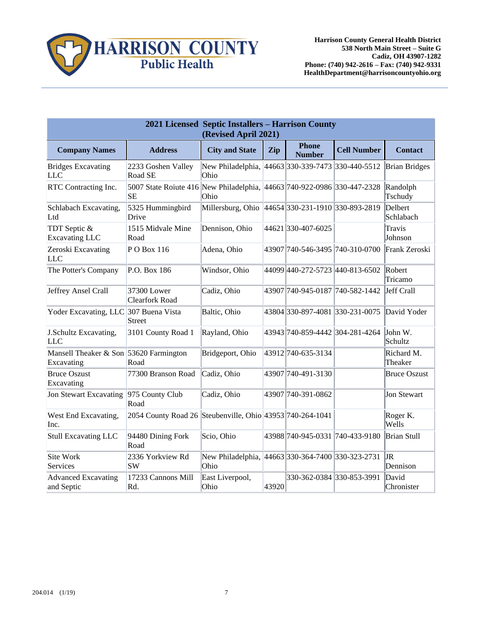**HARRISON COUNTY**<br>Public Health

|                                                      | 2021 Licensed Septic Installers - Harrison County<br>(Revised April 2021)     |                                                           |       |                                   |                    |                       |  |  |  |  |  |  |  |  |
|------------------------------------------------------|-------------------------------------------------------------------------------|-----------------------------------------------------------|-------|-----------------------------------|--------------------|-----------------------|--|--|--|--|--|--|--|--|
| <b>Company Names</b>                                 | <b>Address</b>                                                                | <b>City and State</b>                                     | Zip   | <b>Phone</b><br><b>Number</b>     | <b>Cell Number</b> | <b>Contact</b>        |  |  |  |  |  |  |  |  |
| <b>Bridges Excavating</b><br><b>LLC</b>              | 2233 Goshen Valley<br>Road SE                                                 | New Philadelphia, 44663 330-339-7473 330-440-5512<br>Ohio |       |                                   |                    | <b>Brian Bridges</b>  |  |  |  |  |  |  |  |  |
| RTC Contracting Inc.                                 | 5007 State Roiute 416 New Philadelphia, 44663 740-922-0986 330-447-2328<br>SЕ | Ohio                                                      |       |                                   |                    | Randolph<br>Tschudy   |  |  |  |  |  |  |  |  |
| Schlabach Excavating,<br>Ltd                         | 5325 Hummingbird<br>Drive                                                     | Millersburg, Ohio                                         |       | 44654 330-231-1910 330-893-2819   |                    | Delbert<br>Schlabach  |  |  |  |  |  |  |  |  |
| TDT Septic &<br>Excavating LLC                       | 1515 Midvale Mine<br>Road                                                     | Dennison, Ohio                                            |       | 44621 330-407-6025                |                    | Travis<br>Johnson     |  |  |  |  |  |  |  |  |
| Zeroski Excavating<br>LLC                            | $P$ O Box 116                                                                 | Adena, Ohio                                               |       | 43907  740-546-3495  740-310-0700 |                    | Frank Zeroski         |  |  |  |  |  |  |  |  |
| The Potter's Company                                 | P.O. Box 186                                                                  | Windsor, Ohio                                             |       | 44099 440-272-5723 440-813-6502   |                    | Robert<br>Tricamo     |  |  |  |  |  |  |  |  |
| Jeffrey Ansel Crall                                  | 37300 Lower<br><b>Clearfork Road</b>                                          | Cadiz, Ohio                                               |       | 43907  740-945-0187  740-582-1442 |                    | <b>Jeff Crall</b>     |  |  |  |  |  |  |  |  |
| Yoder Excavating, LLC 307 Buena Vista                | Street                                                                        | Baltic, Ohio                                              |       | 43804 330-897-4081 330-231-0075   |                    | David Yoder           |  |  |  |  |  |  |  |  |
| J.Schultz Excavating,<br><b>LLC</b>                  | 3101 County Road 1                                                            | Rayland, Ohio                                             |       | 43943 740-859-4442 304-281-4264   |                    | John W.<br>Schultz    |  |  |  |  |  |  |  |  |
| Mansell Theaker & Son 53620 Farmington<br>Excavating | Road                                                                          | Bridgeport, Ohio                                          |       | 43912 740-635-3134                |                    | Richard M.<br>Theaker |  |  |  |  |  |  |  |  |
| <b>Bruce Oszust</b><br>Excavating                    | 77300 Branson Road                                                            | Cadiz, Ohio                                               |       | 43907 740-491-3130                |                    | <b>Bruce Oszust</b>   |  |  |  |  |  |  |  |  |
| Jon Stewart Excavating                               | 975 County Club<br>Road                                                       | Cadiz, Ohio                                               |       | 43907 740-391-0862                |                    | <b>Jon Stewart</b>    |  |  |  |  |  |  |  |  |
| West End Excavating,<br>Inc.                         | 2054 County Road 26 Steubenville, Ohio 43953 740-264-1041                     |                                                           |       |                                   |                    | Roger K.<br>Wells     |  |  |  |  |  |  |  |  |
| Stull Excavating LLC                                 | 94480 Dining Fork<br>Road                                                     | Scio, Ohio                                                |       | 43988 740-945-0331 740-433-9180   |                    | Brian Stull           |  |  |  |  |  |  |  |  |
| Site Work<br>Services                                | 2336 Yorkview Rd<br><b>SW</b>                                                 | New Philadelphia, 44663 330-364-7400 330-323-2731<br>Ohio |       |                                   |                    | JR<br>Dennison        |  |  |  |  |  |  |  |  |
| <b>Advanced Excavating</b><br>and Septic             | 17233 Cannons Mill<br>Rd.                                                     | East Liverpool,<br>Ohio                                   | 43920 | 330-362-0384 330-853-3991         |                    | David<br>Chronister   |  |  |  |  |  |  |  |  |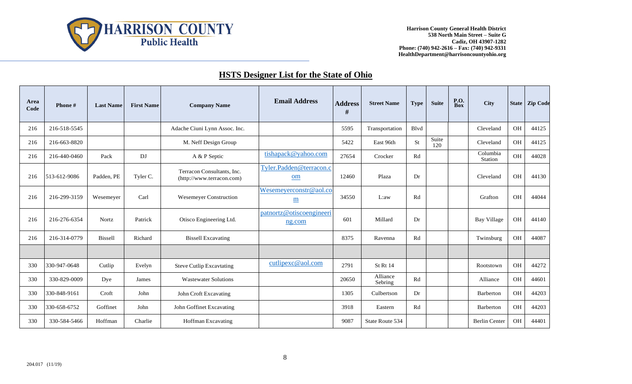

### **HSTS Designer List for the State of Ohio**

| Area<br>Code | Phone#       | <b>Last Name</b> | <b>First Name</b> | <b>Company Name</b>                                     | <b>Email Address</b>               | <b>Address</b><br># | <b>Street Name</b>  | <b>Type</b>            | <b>Suite</b> | <b>P.O.</b><br><b>Box</b> | <b>City</b>          |           | State   Zip Code |
|--------------|--------------|------------------|-------------------|---------------------------------------------------------|------------------------------------|---------------------|---------------------|------------------------|--------------|---------------------------|----------------------|-----------|------------------|
| 216          | 216-518-5545 |                  |                   | Adache Ciuni Lynn Assoc. Inc.                           |                                    | 5595                | Transportation      | Blvd                   |              |                           | Cleveland            | <b>OH</b> | 44125            |
| 216          | 216-663-8820 |                  |                   | M. Neff Design Group                                    |                                    | 5422                | East 96th           | <b>St</b>              | Suite<br>120 |                           | Cleveland            | OH        | 44125            |
| 216          | 216-440-0460 | Pack             | DJ                | A & P Septic                                            | tishapack@yahoo.com                | 27654               | Crocker             | Rd                     |              |                           | Columbia<br>Station  | OH        | 44028            |
| 216          | 513-612-9086 | Padden, PE       | Tyler C.          | Terracon Consultants, Inc.<br>(http://www.terracon.com) | Tyler.Padden@terracon.c<br>om      | 12460               | Plaza               | Dr                     |              |                           | Cleveland            | <b>OH</b> | 44130            |
| 216          | 216-299-3159 | Wesemever        | Carl              | <b>Wesemeyer Construction</b>                           | Wesemeyerconstr@aol.co<br>m        | 34550               | L:aw                | Rd                     |              |                           | Grafton              | <b>OH</b> | 44044            |
| 216          | 216-276-6354 | Nortz            | Patrick           | Otisco Engineering Ltd.                                 | patnortz@otiscoengineeri<br>ng.com | 601                 | Millard             | Dr                     |              |                           | <b>Bay Village</b>   | OH        | 44140            |
| 216          | 216-314-0779 | <b>Bissell</b>   | Richard           | <b>Bissell Excavating</b>                               |                                    | 8375                | Ravenna             | Rd                     |              |                           | Twinsburg            | OH        | 44087            |
|              |              |                  |                   |                                                         |                                    |                     |                     |                        |              |                           |                      |           |                  |
| 330          | 330-947-0648 | Cutlip           | Evelyn            | <b>Steve Cutlip Excavtating</b>                         | cutlipexc@aol.com                  | 2791                | St Rt 14            |                        |              |                           | Rootstown            | OH        | 44272            |
| 330          | 330-829-0009 | Dye              | James             | <b>Wastewater Solutions</b>                             |                                    | 20650               | Alliance<br>Sebring | $\mathbf{R}\mathbf{d}$ |              |                           | Alliance             | OH        | 44601            |
| 330          | 330-848-9161 | Croft            | John              | John Croft Excavating                                   |                                    | 1305                | Culbertson          | Dr                     |              |                           | Barberton            | OH        | 44203            |
| 330          | 330-658-6752 | Goffinet         | John              | John Goffinet Excavating                                |                                    | 3918                | Eastern             | Rd                     |              |                           | Barberton            | OH        | 44203            |
| 330          | 330-584-5466 | Hoffman          | Charlie           | <b>Hoffman Excavating</b>                               |                                    | 9087                | State Route 534     |                        |              |                           | <b>Berlin Center</b> | OH        | 44401            |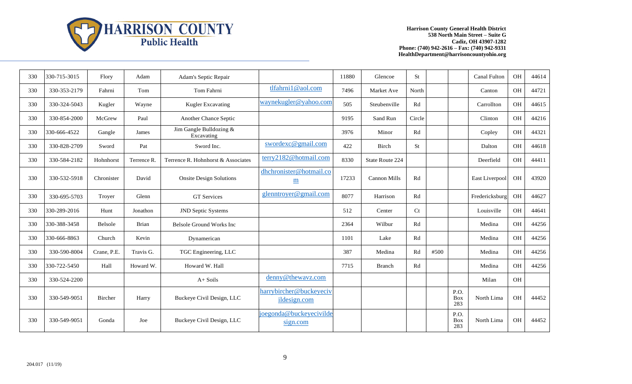

| 330 | 330-715-3015 | Flory       | Adam        | Adam's Septic Repair                  |                                            | 11880 | Glencoe             | St        |      |                    | <b>Canal Fulton</b> | OH        | 44614 |
|-----|--------------|-------------|-------------|---------------------------------------|--------------------------------------------|-------|---------------------|-----------|------|--------------------|---------------------|-----------|-------|
| 330 | 330-353-2179 | Fahrni      | Tom         | Tom Fahrni                            | tlfahrni1@aol.com                          | 7496  | Market Ave          | North     |      |                    | Canton              | <b>OH</b> | 44721 |
| 330 | 330-324-5043 | Kugler      | Wayne       | <b>Kugler Excavating</b>              | waynekugler@yahoo.com                      | 505   | Steubenville        | Rd        |      |                    | Carrollton          | <b>OH</b> | 44615 |
| 330 | 330-854-2000 | McGrew      | Paul        | Another Chance Septic                 |                                            | 9195  | Sand Run            | Circle    |      |                    | Clinton             | <b>OH</b> | 44216 |
| 330 | 330-666-4522 | Gangle      | James       | Jim Gangle Bulldozing &<br>Excavating |                                            | 3976  | Minor               | Rd        |      |                    | Copley              | OH        | 44321 |
| 330 | 330-828-2709 | Sword       | Pat         | Sword Inc.                            | swordexc@gmail.com                         | 422   | Birch               | <b>St</b> |      |                    | Dalton              | <b>OH</b> | 44618 |
| 330 | 330-584-2182 | Hohnhorst   | Terrence R. | Terrence R. Hohnhorst & Associates    | terry2182@hotmail.com                      | 8330  | State Route 224     |           |      |                    | Deerfield           | <b>OH</b> | 44411 |
| 330 | 330-532-5918 | Chronister  | David       | <b>Onsite Design Solutions</b>        | dhchronister@hotmail.co<br>$\underline{m}$ | 17233 | <b>Cannon Mills</b> | Rd        |      |                    | East Liverpool      | OH        | 43920 |
| 330 | 330-695-5703 | Troyer      | Glenn       | <b>GT</b> Services                    | glenntroyer@gmail.com                      | 8077  | Harrison            | Rd        |      |                    | Fredericksburg      | OH        | 44627 |
| 330 | 330-289-2016 | Hunt        | Jonathon    | <b>JND Septic Systems</b>             |                                            | 512   | Center              | Ct        |      |                    | Louisville          | OH        | 44641 |
| 330 | 330-388-3458 | Belsole     | Brian       | Belsole Ground Works Inc              |                                            | 2364  | Wilbur              | Rd        |      |                    | Medina              | OH        | 44256 |
| 330 | 330-666-8863 | Church      | Kevin       | Dynamerican                           |                                            | 1101  | Lake                | Rd        |      |                    | Medina              | OH        | 44256 |
| 330 | 330-590-8004 | Crane, P.E. | Travis G.   | TGC Engineering, LLC                  |                                            | 387   | Medina              | Rd        | #500 |                    | Medina              | OH        | 44256 |
| 330 | 330-722-5450 | Hall        | Howard W.   | Howard W. Hall                        |                                            | 7715  | <b>Branch</b>       | Rd        |      |                    | Medina              | <b>OH</b> | 44256 |
| 330 | 330-524-2200 |             |             | $A+Soils$                             | denny@thewavz.com                          |       |                     |           |      |                    | Milan               | <b>OH</b> |       |
| 330 | 330-549-9051 | Bircher     | Harry       | Buckeye Civil Design, LLC             | harrybircher@buckeyeciv<br>ildesign.com    |       |                     |           |      | P.O.<br>Box<br>283 | North Lima          | <b>OH</b> | 44452 |
| 330 | 330-549-9051 | Gonda       | Joe         | Buckeye Civil Design, LLC             | joegonda@buckeyecivilde<br>sign.com        |       |                     |           |      | P.O.<br>Box<br>283 | North Lima          | <b>OH</b> | 44452 |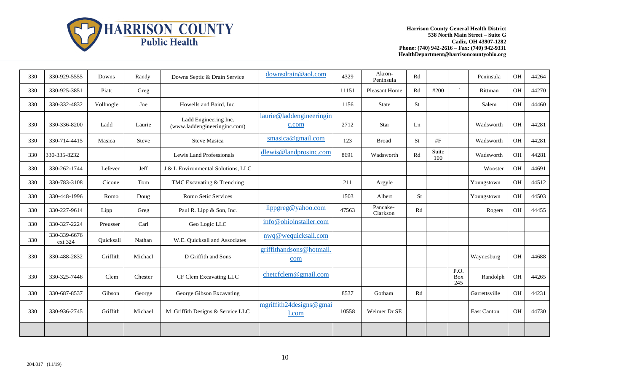

| 330 | 330-929-5555            | Downs     | Randy   | Downs Septic & Drain Service                          | downsdrain@aol.com                | 4329  | Akron-<br>Peninsula  | Rd        |              |                                        | Peninsula     | <b>OH</b> | 44264 |
|-----|-------------------------|-----------|---------|-------------------------------------------------------|-----------------------------------|-------|----------------------|-----------|--------------|----------------------------------------|---------------|-----------|-------|
| 330 | 330-925-3851            | Piatt     | Greg    |                                                       |                                   | 11151 | Pleasant Home        | Rd        | #200         | $\mathcal{N}$                          | Rittman       | OH        | 44270 |
| 330 | 330-332-4832            | Vollnogle | Joe     | Howells and Baird, Inc.                               |                                   | 1156  | State                | St        |              |                                        | Salem         | OH        | 44460 |
| 330 | 330-336-8200            | Ladd      | Laurie  | Ladd Engineering Inc.<br>(www.laddengineeringinc.com) | laurie@laddengineeringin<br>c.com | 2712  | Star                 | Ln        |              |                                        | Wadsworth     | OH        | 44281 |
| 330 | 330-714-4415            | Masica    | Steve   | <b>Steve Masica</b>                                   | smasica@gmail.com                 | 123   | <b>Broad</b>         | <b>St</b> | #F           |                                        | Wadsworth     | OH        | 44281 |
| 330 | 330-335-8232            |           |         | Lewis Land Professionals                              | dlewis@landprosinc.com            | 8691  | Wadsworth            | Rd        | Suite<br>100 |                                        | Wadsworth     | OH        | 44281 |
| 330 | 330-262-1744            | Lefever   | Jeff    | J & L Environmental Solutions, LLC                    |                                   |       |                      |           |              |                                        | Wooster       | OH        | 44691 |
| 330 | 330-783-3108            | Cicone    | Tom     | TMC Excavating & Trenching                            |                                   | 211   | Argyle               |           |              |                                        | Youngstown    | OH        | 44512 |
| 330 | 330-448-1996            | Romo      | Doug    | Romo Setic Services                                   |                                   | 1503  | Albert               | <b>St</b> |              |                                        | Youngstown    | OH        | 44503 |
| 330 | 330-227-9614            | Lipp      | Greg    | Paul R. Lipp & Son, Inc.                              | lippgreg@yahoo.com                | 47563 | Pancake-<br>Clarkson | Rd        |              |                                        | Rogers        | OH        | 44455 |
| 330 | 330-327-2224            | Preusser  | Carl    | Geo Logic LLC                                         | info@ohioinstaller.com            |       |                      |           |              |                                        |               |           |       |
| 330 | 330-339-6676<br>ext 324 | Quicksall | Nathan  | W.E. Quicksall and Associates                         | nwq@wequicksall.com               |       |                      |           |              |                                        |               |           |       |
| 330 | 330-488-2832            | Griffith  | Michael | D Griffith and Sons                                   | griffithandsons@hotmail<br>com    |       |                      |           |              |                                        | Waynesburg    | OH        | 44688 |
| 330 | 330-325-7446            | Clem      | Chester | CF Clem Excavating LLC                                | chetcfclem@gmail.com              |       |                      |           |              | $\overline{P.O.}$<br><b>Box</b><br>245 | Randolph      | OH        | 44265 |
| 330 | 330-687-8537            | Gibson    | George  | George Gibson Excavating                              |                                   | 8537  | Gotham               | Rd        |              |                                        | Garrettsville | OH        | 44231 |
| 330 | 330-936-2745            | Griffith  | Michael | M .Griffith Designs & Service LLC                     | mgriffith24designs@gmai<br>l.com  | 10558 | Weimer Dr SE         |           |              |                                        | East Canton   | OH        | 44730 |
|     |                         |           |         |                                                       |                                   |       |                      |           |              |                                        |               |           |       |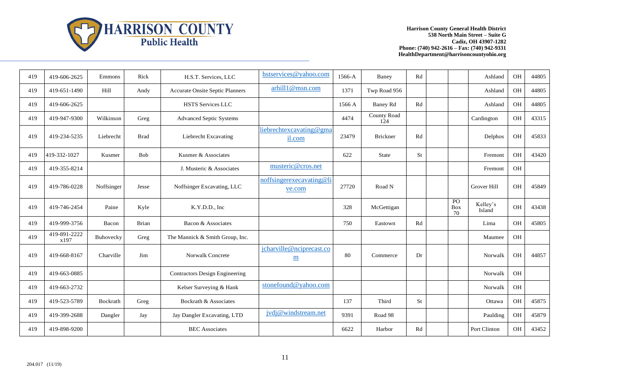

| 419 | 419-606-2625         | Emmons     | Rick        | H.S.T. Services, LLC                   | hstservices@yahoo.com              | 1566-A | Baney                     | Rd        |                 | Ashland            | OH             | 44805 |
|-----|----------------------|------------|-------------|----------------------------------------|------------------------------------|--------|---------------------------|-----------|-----------------|--------------------|----------------|-------|
| 419 | 419-651-1490         | Hill       | Andy        | <b>Accurate Onsite Septic Planners</b> | arhill1@msn.com                    | 1371   | Twp Road 956              |           |                 | Ashland            | OH             | 44805 |
| 419 | 419-606-2625         |            |             | <b>HSTS Services LLC</b>               |                                    | 1566 A | <b>Baney Rd</b>           | Rd        |                 | Ashland            | OH             | 44805 |
| 419 | 419-947-9300         | Wilkinson  | Greg        | <b>Advanced Septic Systems</b>         |                                    | 4474   | <b>County Road</b><br>124 |           |                 | Cardington         | OH             | 43315 |
| 419 | 419-234-5235         | Liebrecht  | <b>Brad</b> | Liebrecht Excavating                   | liebrechtexcavating@gma<br>il.com  | 23479  | <b>Brickner</b>           | Rd        |                 | Delphos            | OH             | 45833 |
| 419 | 419-332-1027         | Kusmer     | <b>Bob</b>  | Kusmer & Associates                    |                                    | 622    | State                     | <b>St</b> |                 | Fremont            | OH             | 43420 |
| 419 | 419-355-8214         |            |             | J. Musteric & Associates               | musteric@cros.net                  |        |                           |           |                 | Fremont            | OH             |       |
| 419 | 419-786-0228         | Noffsinger | Jesse       | Noffsinger Excavating, LLC             | noffsingerexecavating@li<br>ve.com | 27720  | Road N                    |           |                 | <b>Grover Hill</b> | OH             | 45849 |
| 419 | 419-746-2454         | Paine      | Kyle        | K.Y.D.D., Inc                          |                                    | 328    | McGettigan                |           | PO<br>Box<br>70 | Kelley's<br>Island | OH             | 43438 |
| 419 | 419-999-3756         | Bacon      | Brian       | Bacon & Associates                     |                                    | 750    | Eastown                   | Rd        |                 | Lima               | O <sub>H</sub> | 45805 |
| 419 | 419-891-2222<br>x197 | Buhovecky  | Greg        | The Mannick & Smith Group, Inc.        |                                    |        |                           |           |                 | Maumee             | OH             |       |
| 419 | 419-668-8167         | Charville  | Jim         | Norwalk Concrete                       | jcharville@nciprecast.co<br>m      | 80     | Commerce                  | Dr        |                 | Norwalk            | OH             | 44857 |
| 419 | 419-663-0885         |            |             | <b>Contractors Design Engineering</b>  |                                    |        |                           |           |                 | Norwalk            | OH             |       |
| 419 | 419-663-2732         |            |             | Kelser Surveying & Hank                | stonefound@yahoo.com               |        |                           |           |                 | Norwalk            | OH             |       |
| 419 | 419-523-5789         | Bockrath   | Greg        | Bockrath & Associates                  |                                    | 137    | Third                     | <b>St</b> |                 | Ottawa             | OH             | 45875 |
| 419 | 419-399-2688         | Dangler    | Jay         | Jay Dangler Excavating, LTD            | jvdj@windstream.net                | 9391   | Road 98                   |           |                 | Paulding           | OH             | 45879 |
| 419 | 419-898-9200         |            |             | <b>BEC</b> Associates                  |                                    | 6622   | Harbor                    | Rd        |                 | Port Clinton       | <b>OH</b>      | 43452 |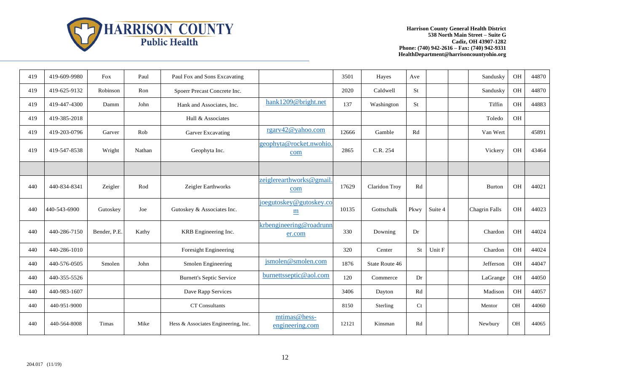

| 419 | 419-609-9980 | Fox          | Paul   | Paul Fox and Sons Excavating        |                                            | 3501  | Hayes          | Ave                    |         | Sandusky      | OH        | 44870 |
|-----|--------------|--------------|--------|-------------------------------------|--------------------------------------------|-------|----------------|------------------------|---------|---------------|-----------|-------|
| 419 | 419-625-9132 | Robinson     | Ron    | Spoerr Precast Concrete Inc.        |                                            | 2020  | Caldwell       | <b>St</b>              |         | Sandusky      | OH        | 44870 |
| 419 | 419-447-4300 | Damm         | John   | Hank and Associates, Inc.           | hank1209@bright.net                        | 137   | Washington     | <b>St</b>              |         | Tiffin        | OH        | 44883 |
| 419 | 419-385-2018 |              |        | Hull & Associates                   |                                            |       |                |                        |         | Toledo        | <b>OH</b> |       |
| 419 | 419-203-0796 | Garver       | Rob    | <b>Garver Excavating</b>            | rgarv42@yahoo.com                          | 12666 | Gamble         | Rd                     |         | Van Wert      |           | 45891 |
| 419 | 419-547-8538 | Wright       | Nathan | Geophyta Inc.                       | geophyta@rocket.nwohio.<br>com             | 2865  | C.R. 254       |                        |         | Vickery       | OH        | 43464 |
|     |              |              |        |                                     |                                            |       |                |                        |         |               |           |       |
| 440 | 440-834-8341 | Zeigler      | Rod    | Zeigler Earthworks                  | zeiglerearthworks@gmail<br>com             | 17629 | Claridon Troy  | $\mathbf{R}\mathbf{d}$ |         | <b>Burton</b> | OH        | 44021 |
| 440 | 440-543-6900 | Gutoskey     | Joe    | Gutoskey & Associates Inc.          | joegutoskey@gutoskey.co<br>$\underline{m}$ | 10135 | Gottschalk     | Pkwy                   | Suite 4 | Chagrin Falls | OH        | 44023 |
| 440 | 440-286-7150 | Bender, P.E. | Kathy  | KRB Engineering Inc.                | krbengineering@roadrunn<br>er.com          | 330   | Downing        | Dr                     |         | Chardon       | OH        | 44024 |
| 440 | 440-286-1010 |              |        | Foresight Engineering               |                                            | 320   | Center         | <b>St</b>              | Unit F  | Chardon       | OH        | 44024 |
| 440 | 440-576-0505 | Smolen       | John   | Smolen Engineering                  | jsmolen@smolen.com                         | 1876  | State Route 46 |                        |         | Jefferson     | OH        | 44047 |
| 440 | 440-355-5526 |              |        | <b>Burnett's Septic Service</b>     | burnettsseptic@aol.com                     | 120   | Commerce       | Dr                     |         | LaGrange      | OH        | 44050 |
| 440 | 440-983-1607 |              |        | Dave Rapp Services                  |                                            | 3406  | Dayton         | Rd                     |         | Madison       | OH        | 44057 |
| 440 | 440-951-9000 |              |        | <b>CT</b> Consultants               |                                            | 8150  | Sterling       | Ct                     |         | Mentor        | OH        | 44060 |
| 440 | 440-564-8008 | Timas        | Mike   | Hess & Associates Engineering, Inc. | mtimas@hess-<br>engineering.com            | 12121 | Kinsman        | Rd                     |         | Newbury       | OH        | 44065 |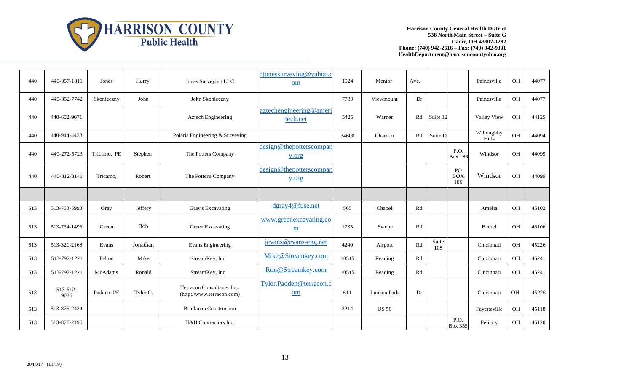

| 440 | 440-357-1811     | Jones       | Harry      | Jones Surveying LLC                                     | hjonessurveying@yahoo.c<br>om             | 1924  | Mentor       | Ave. |              |                         | Painesville         | <b>OH</b> | 44077 |
|-----|------------------|-------------|------------|---------------------------------------------------------|-------------------------------------------|-------|--------------|------|--------------|-------------------------|---------------------|-----------|-------|
| 440 | 440-352-7742     | Skonieczny  | John       | John Skonieczny                                         |                                           | 7739  | Viewmount    | Dr   |              |                         | Painesville         | OH        | 44077 |
| 440 | 440-602-9071     |             |            | Aztech Engineering                                      | aztechengineering@ameri<br>tech.net       | 5425  | Warner       | Rd   | Suite 12     |                         | Valley View         | <b>OH</b> | 44125 |
| 440 | 440-944-4433     |             |            | Polaris Engineering & Surveying                         |                                           | 34600 | Chardon      | Rd   | Suite D      |                         | Willoughby<br>Hills | OH        | 44094 |
| 440 | 440-272-5723     | Tricamo, PE | Stephen    | The Potters Company                                     | design@thepotterscompan<br>y.org          |       |              |      |              | P.O.<br><b>Box 186</b>  | Windsor             | OH        | 44099 |
| 440 | 440-812-8141     | Tricamo,    | Robert     | The Potter's Company                                    | design@thepotterscompan<br>y.org          |       |              |      |              | PO<br><b>BOX</b><br>186 | Windsor             | OH        | 44099 |
|     |                  |             |            |                                                         |                                           |       |              |      |              |                         |                     |           |       |
| 513 | 513-753-5998     | Gray        | Jeffery    | Gray's Excavating                                       | dgray4@fuse.net                           | 565   | Chapel       | Rd   |              |                         | Amelia              | <b>OH</b> | 45102 |
| 513 | 513-734-1496     | Green       | <b>Bob</b> | Green Excavating                                        | www.greenexcavating.co<br>$\underline{m}$ | 1735  | Swope        | Rd   |              |                         | Bethel              | OH        | 45106 |
| 513 | 513-321-2168     | Evans       | Jonathan   | Evans Engineering                                       | jevans@evans-eng.net                      | 4240  | Airport      | Rd   | Suite<br>108 |                         | Cincinnati          | <b>OH</b> | 45226 |
| 513 | 513-792-1221     | Felton      | Mike       | StreamKey, Inc                                          | Mike@Streamkey.com                        | 10515 | Reading      | Rd   |              |                         | Cincinnati          | <b>OH</b> | 45241 |
| 513 | 513-792-1221     | McAdams     | Ronald     | StreamKey, Inc                                          | Ron@Streamkey.com                         | 10515 | Reading      | Rd   |              |                         | Cincinnati          | OH        | 45241 |
| 513 | 513-612-<br>9086 | Padden, PE  | Tyler C.   | Terracon Consultants, Inc.<br>(http://www.terracon.com) | Tyler.Padden@terracon.c<br>om             | 611   | Lunken Park  | Dr   |              |                         | Cincinnati          | OH        | 45226 |
| 513 | 513-875-2424     |             |            | <b>Brinkman Construction</b>                            |                                           | 3214  | <b>US 50</b> |      |              |                         | Fayetteville        | <b>OH</b> | 45118 |
| 513 | 513-876-2196     |             |            | H&H Contractors Inc.                                    |                                           |       |              |      |              | P.O.<br><b>Box 355</b>  | Felicity            | <b>OH</b> | 45120 |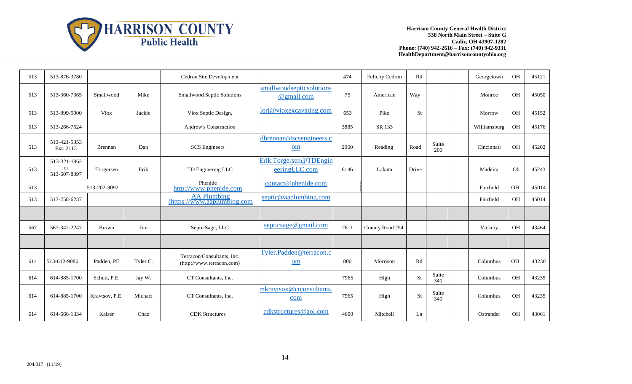

| 513 | 513-876-3780                              |                |          | Cedron Site Development                                 |                                         | 474  | Felicity Cedron | Rd    |              | Georgetown   | OH        | 45121 |
|-----|-------------------------------------------|----------------|----------|---------------------------------------------------------|-----------------------------------------|------|-----------------|-------|--------------|--------------|-----------|-------|
| 513 | 513-360-7365                              | Smallwood      | Mike     | Smallwood Septic Solutions                              | smallwoodsepticsolutions<br>@gmail.com  | 75   | American        | Way   |              | Monroe       | OH        | 45050 |
| 513 | 513-899-5000                              | <b>Viox</b>    | Jackie   | Viox Septic Design.                                     | lori@vioxexcavating.com                 | 653  | Pike            | St    |              | Morrow       | OH        | 45152 |
| 513 | 513-266-7524                              |                |          | <b>Andrew's Construction</b>                            |                                         | 3885 | SR 133          |       |              | Williamsburg | OH        | 45176 |
| 513 | 513-421-5353<br>Ext. 2113                 | <b>Brennan</b> | Dan      | <b>SCS</b> Engineers                                    | dbrennan@scsengineers.c<br>om           | 2060 | Reading         | Road  | Suite<br>200 | Cincinnati   | OH        | 45202 |
| 513 | 513-321-1862<br><b>or</b><br>513-607-8397 | Torgersen      | Erik     | TD Enginering LLC                                       | Erik.Torgersen@TDEngin<br>eeringLLC.com | 6146 | Lakota          | Drive |              | Madeira      | Oh        | 45243 |
| 513 |                                           | 513-202-3092   |          | Phenide<br>http://www.phenide.com                       | contact@phenide.com                     |      |                 |       |              | Fairfield    | $\rm OH$  | 45014 |
| 513 | 513-758-6237                              |                |          | <b>AA Plumbing</b><br>(htips://www.aaplumbing.com)      | septic@aaplumbing.com                   |      |                 |       |              | Fairfield    | <b>OH</b> | 45014 |
|     |                                           |                |          |                                                         |                                         |      |                 |       |              |              |           |       |
| 567 | 567-342-2247                              | <b>Brown</b>   | Jim      | SepticSage, LLC                                         | septicsage@gmail.com                    | 2611 | County Road 254 |       |              | Vickery      | OH        | 43464 |
|     |                                           |                |          |                                                         |                                         |      |                 |       |              |              |           |       |
| 614 | 513-612-9086                              | Padden, PE     | Tyler C. | Terracon Consultants, Inc.<br>(http://www.terracon.com) | Tyler.Padden@terracon.c<br>om           | 800  | Morrison        | Rd    |              | Columbus     | OH        | 43230 |
| 614 | 614-885-1700                              | Schutt, P.E.   | Jay W.   | CT Consultants, Inc.                                    |                                         | 7965 | High            | St    | Suite<br>340 | Columbus     | <b>OH</b> | 43235 |
| 614 | 614-885-1700                              | Kravtsov, P.E. | Michael  | CT Consultants, Inc.                                    | mkravtsox@ctconsultants<br>com          | 7965 | High            | St    | Suite<br>340 | Columbus     | OH        | 43235 |
| 614 | 614-666-1334                              | Kaiser         | Chaz     | <b>CDK</b> Structures                                   | cdkstructures@aol.com                   | 4600 | Mitchell        | Ln    |              | Ostrander    | <b>OH</b> | 43061 |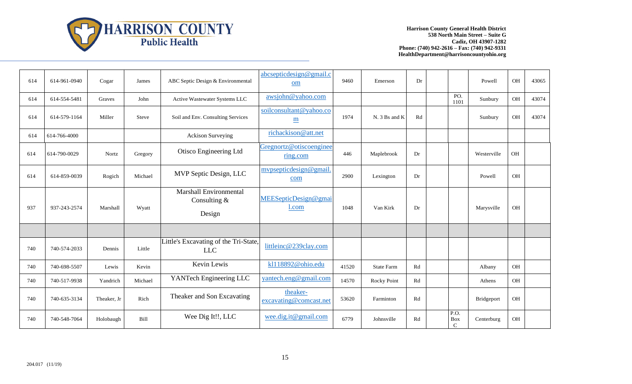

| 614 | 614-961-0940 | Cogar       | James   | ABC Septic Design & Environmental                   | abcsepticdesign@gmail.c<br>om              | 9460  | Emerson           | Dr |                                                  | Powell      | OH        | 43065 |
|-----|--------------|-------------|---------|-----------------------------------------------------|--------------------------------------------|-------|-------------------|----|--------------------------------------------------|-------------|-----------|-------|
| 614 | 614-554-5481 | Graves      | John    | Active Wastewater Systems LLC                       | awsjohn@yahoo.com                          |       |                   |    | PO.<br>1101                                      | Sunbury     | OH        | 43074 |
| 614 | 614-579-1164 | Miller      | Steve   | Soil and Env. Consulting Services                   | soilconsultant@yahoo.co<br>$\underline{m}$ | 1974  | N. 3 Bs and K     | Rd |                                                  | Sunbury     | OH        | 43074 |
| 614 | 614-766-4000 |             |         | <b>Ackison Surveying</b>                            | richackison@att.net                        |       |                   |    |                                                  |             |           |       |
| 614 | 614-790-0029 | Nortz       | Gregory | Otisco Engineering Ltd                              | Gregnortz@otiscoenginee<br>ring.com        | 446   | Maplebrook        | Dr |                                                  | Westerville | OH        |       |
| 614 | 614-859-0039 | Rogich      | Michael | MVP Septic Design, LLC                              | mypsepticdesign@gmail<br>com               | 2900  | Lexington         | Dr |                                                  | Powell      | OH        |       |
| 937 | 937-243-2574 | Marshall    | Wyatt   | Marshall Environmental<br>Consulting $&$<br>Design  | MEESepticDesign@gmai<br>l.com              | 1048  | Van Kirk          | Dr |                                                  | Marysville  | OH        |       |
|     |              |             |         |                                                     |                                            |       |                   |    |                                                  |             |           |       |
| 740 | 740-574-2033 | Dennis      | Little  | Little's Excavating of the Tri-State,<br><b>LLC</b> | littleinc@239clay.com                      |       |                   |    |                                                  |             |           |       |
| 740 | 740-698-5507 | Lewis       | Kevin   | Kevin Lewis                                         | kl118892@ohio.edu                          | 41520 | <b>State Farm</b> | Rd |                                                  | Albany      | <b>OH</b> |       |
| 740 | 740-517-9938 | Yandrich    | Michael | YANTech Engineering LLC                             | yantech.eng@gmail.com                      | 14570 | Rocky Point       | Rd |                                                  | Athens      | OH        |       |
| 740 | 740-635-3134 | Theaker, Jr | Rich    | Theaker and Son Excavating                          | theaker-<br>excavating@comcast.net         | 53620 | Farminton         | Rd |                                                  | Bridgeport  | OH        |       |
| 740 | 740-548-7064 | Holobaugh   | Bill    | Wee Dig It!!, LLC                                   | wee.dig.it@gmail.com                       | 6779  | Johnsville        | Rd | $\overline{P.O.}$<br><b>Box</b><br>$\mathcal{C}$ | Centerburg  | OH        |       |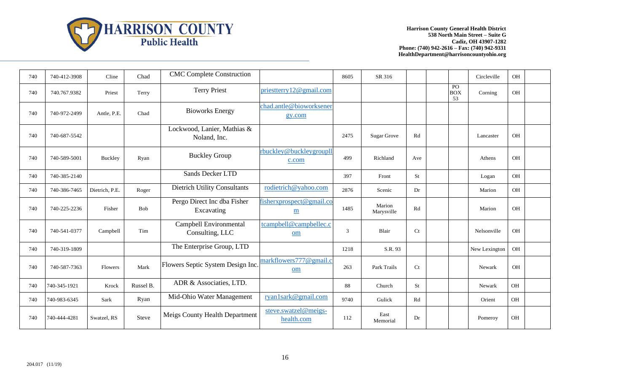

| 740 | 740-412-3908 | Cline          | Chad         | <b>CMC Complete Construction</b>            |                                    | 8605 | SR 316               |                |                        | Circleville   | <b>OH</b> |  |
|-----|--------------|----------------|--------------|---------------------------------------------|------------------------------------|------|----------------------|----------------|------------------------|---------------|-----------|--|
| 740 | 740.767.9382 | Priest         | Terry        | <b>Terry Priest</b>                         | priesttery 12@gmail.com            |      |                      |                | PO<br><b>BOX</b><br>53 | Corning       | OH        |  |
| 740 | 740-972-2499 | Antle, P.E.    | Chad         | <b>Bioworks Energy</b>                      | chad.antle@bioworksener<br>gy.com  |      |                      |                |                        |               |           |  |
| 740 | 740-687-5542 |                |              | Lockwood, Lanier, Mathias &<br>Noland, Inc. |                                    | 2475 | <b>Sugar Grove</b>   | Rd             |                        | Lancaster     | OH        |  |
| 740 | 740-589-5001 | Buckley        | Ryan         | <b>Buckley Group</b>                        | rbuckley@buckleygroupll<br>c.com   | 499  | Richland             | Ave            |                        | Athens        | <b>OH</b> |  |
| 740 | 740-385-2140 |                |              | Sands Decker LTD                            |                                    | 397  | Front                | St             |                        | Logan         | OH        |  |
| 740 | 740-386-7465 | Dietrich, P.E. | Roger        | Dietrich Utility Consultants                | rodietrich@yahoo.com               | 2876 | Scenic               | Dr             |                        | Marion        | <b>OH</b> |  |
| 740 | 740-225-2236 | Fisher         | Bob          | Pergo Direct Inc dba Fisher<br>Excavating   | fisherxprospect@gmail.co<br>m      | 1485 | Marion<br>Marysville | Rd             |                        | Marion        | OH        |  |
| 740 | 740-541-0377 | Campbell       | Tim          | Campbell Environmental<br>Consulting, LLC   | tcampbell@campbellec.c<br>om       | 3    | Blair                | C <sub>t</sub> |                        | Nelsonville   | <b>OH</b> |  |
| 740 | 740-319-1809 |                |              | The Enterprise Group, LTD                   |                                    | 1218 | S.R. 93              |                |                        | New Lexington | <b>OH</b> |  |
| 740 | 740-587-7363 | Flowers        | Mark         | Flowers Septic System Design Inc.           | markflowers777@gmail.c<br>om       | 263  | Park Trails          | Ct             |                        | Newark        | <b>OH</b> |  |
| 740 | 740-345-1921 | Krock          | Russel B.    | ADR & Associaties, LTD.                     |                                    | 88   | Church               | St             |                        | Newark        | OH        |  |
| 740 | 740-983-6345 | Sark           | Ryan         | Mid-Ohio Water Management                   | ryan1sark@gmail.com                | 9740 | Gulick               | Rd             |                        | Orient        | OH        |  |
| 740 | 740-444-4281 | Swatzel, RS    | <b>Steve</b> | <b>Meigs County Health Department</b>       | steve.swatzel@meigs-<br>health.com | 112  | East<br>Memorial     | Dr             |                        | Pomeroy       | OH        |  |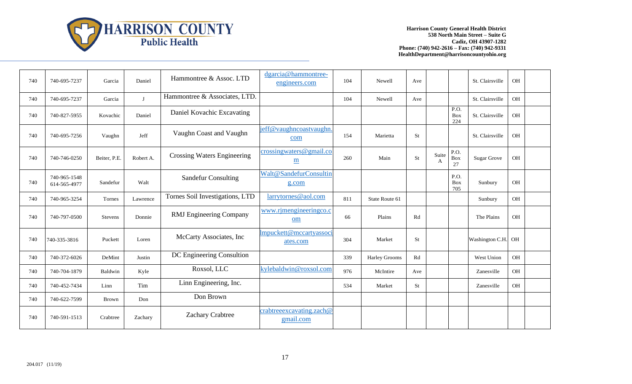

| 740 | 740-695-7237                 | Garcia         | Daniel       | Hammontree & Assoc. LTD            | dgarcia@hammontree-<br>engineers.com                | 104 | Newell         | Ave       |                       |                           | St. Clairsville    | <b>OH</b> |  |
|-----|------------------------------|----------------|--------------|------------------------------------|-----------------------------------------------------|-----|----------------|-----------|-----------------------|---------------------------|--------------------|-----------|--|
| 740 | 740-695-7237                 | Garcia         | $\mathbf{J}$ | Hammontree & Associates, LTD.      |                                                     | 104 | Newell         | Ave       |                       |                           | St. Clairsville    | OH        |  |
| 740 | 740-827-5955                 | Kovachic       | Daniel       | Daniel Kovachic Excavating         |                                                     |     |                |           |                       | P.O.<br><b>Box</b><br>224 | St. Clairsville    | OH        |  |
| 740 | 740-695-7256                 | Vaughn         | Jeff         | Vaughn Coast and Vaughn            | jeff@vaughncoastvaughn.<br>com                      | 154 | Marietta       | <b>St</b> |                       |                           | St. Clairsville    | OH        |  |
| 740 | 740-746-0250                 | Beiter, P.E.   | Robert A.    | <b>Crossing Waters Engineering</b> | crossingwaters@gmail.co<br>$\underline{\textbf{m}}$ | 260 | Main           | St        | Suite<br>$\mathbf{A}$ | P.O.<br>Box<br>27         | <b>Sugar Grove</b> | <b>OH</b> |  |
| 740 | 740-965-1548<br>614-565-4977 | Sandefur       | Walt         | <b>Sandefur Consulting</b>         | Walt@SandefurConsultin<br>g.com                     |     |                |           |                       | P.O.<br>Box<br>705        | Sunbury            | OH        |  |
| 740 | 740-965-3254                 | Tornes         | Lawrence     | Tornes Soil Investigations, LTD    | larrytornes@aol.com                                 | 811 | State Route 61 |           |                       |                           | Sunbury            | OH        |  |
| 740 | 740-797-0500                 | <b>Stevens</b> | Donnie       | <b>RMJ</b> Engineering Company     | www.rjmengineeringco.c<br>om                        | 66  | Plains         | Rd        |                       |                           | The Plains         | <b>OH</b> |  |
| 740 | 740-335-3816                 | Puckett        | Loren        | McCarty Associates, Inc            | Impuckett@mccartyassoc<br>ates.com                  | 304 | Market         | <b>St</b> |                       |                           | Washington C.H.    | OH        |  |
| 740 | 740-372-6026                 | DeMint         | Justin       | DC Engineering Consultion          |                                                     | 339 | Harley Grooms  | Rd        |                       |                           | West Union         | OH        |  |
| 740 | 740-704-1879                 | Baldwin        | Kyle         | Roxsol, LLC                        | kylebaldwin@roxsol.com                              | 976 | McIntire       | Ave       |                       |                           | Zanesville         | OH        |  |
| 740 | 740-452-7434                 | Linn           | Tim          | Linn Engineering, Inc.             |                                                     | 534 | Market         | St        |                       |                           | Zanesville         | OH        |  |
| 740 | 740-622-7599                 | <b>Brown</b>   | Don          | Don Brown                          |                                                     |     |                |           |                       |                           |                    |           |  |
| 740 | 740-591-1513                 | Crabtree       | Zachary      | <b>Zachary Crabtree</b>            | $crabtree$ excavating. zach $@$<br>gmail.com        |     |                |           |                       |                           |                    |           |  |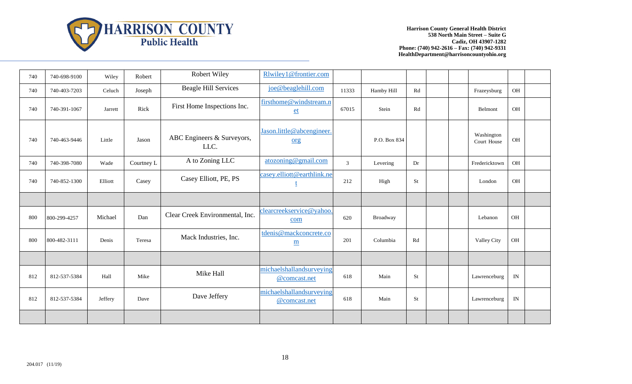

| 740 | 740-698-9100 | Wiley   | Robert     | Robert Wiley                       | Rlwiley1@frontier.com                              |                |              |    |  |                           |           |  |
|-----|--------------|---------|------------|------------------------------------|----------------------------------------------------|----------------|--------------|----|--|---------------------------|-----------|--|
| 740 | 740-403-7203 | Celuch  | Joseph     | <b>Beagle Hill Services</b>        | joe@beaglehill.com                                 | 11333          | Hamby Hill   | Rd |  | Frazeysburg               | OH        |  |
| 740 | 740-391-1067 | Jarrett | Rick       | First Home Inspections Inc.        | firsthome@windstream.n<br>$et$                     | 67015          | Stein        | Rd |  | Belmont                   | OH        |  |
| 740 | 740-463-9446 | Little  | Jason      | ABC Engineers & Surveyors,<br>LLC. | Jason.little@abcengineer.<br>org                   |                | P.O. Box 834 |    |  | Washington<br>Court House | OH        |  |
| 740 | 740-398-7080 | Wade    | Courtney L | A to Zoning LLC                    | atozoning@gmail.com                                | $\mathfrak{Z}$ | Levering     | Dr |  | Fredericktown             | <b>OH</b> |  |
| 740 | 740-852-1300 | Elliott | Casey      | Casey Elliott, PE, PS              | casey.elliott@earthlink.ne                         | 212            | High         | St |  | London                    | OH        |  |
|     |              |         |            |                                    |                                                    |                |              |    |  |                           |           |  |
| 800 | 800-299-4257 | Michael | Dan        | Clear Creek Environmental, Inc.    | clearcreekservice@yahoo.<br>com                    | 620            | Broadway     |    |  | Lebanon                   | OH        |  |
| 800 | 800-482-3111 | Denis   | Teresa     | Mack Industries, Inc.              | tdenis@mackconcrete.co<br>$\underline{\textbf{m}}$ | 201            | Columbia     | Rd |  | Valley City               | OH        |  |
|     |              |         |            |                                    |                                                    |                |              |    |  |                           |           |  |
| 812 | 812-537-5384 | Hall    | Mike       | Mike Hall                          | michaelshallandsurveying<br>@comcast.net           | 618            | Main         | St |  | Lawrenceburg              | IN        |  |
| 812 | 812-537-5384 | Jeffery | Dave       | Dave Jeffery                       | michaelshallandsurveying<br>@comcast.net           | 618            | Main         | St |  | Lawrenceburg              | IN        |  |
|     |              |         |            |                                    |                                                    |                |              |    |  |                           |           |  |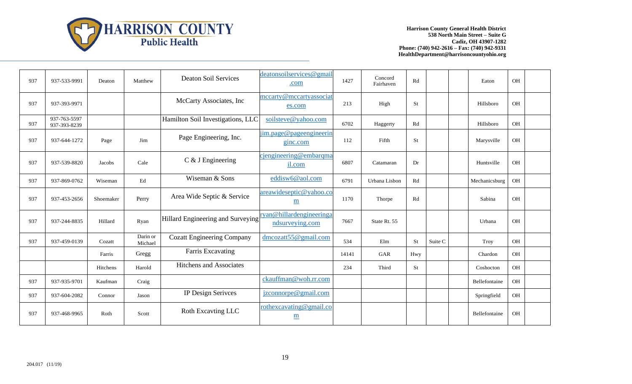

| 937 | 937-533-9991                 | Deaton    | Matthew             | <b>Deaton Soil Services</b>       | deatonsoilservices@gmail<br>.com            | 1427  | Concord<br>Fairhaven | Rd  |         | Eaton         | <b>OH</b> |  |
|-----|------------------------------|-----------|---------------------|-----------------------------------|---------------------------------------------|-------|----------------------|-----|---------|---------------|-----------|--|
| 937 | 937-393-9971                 |           |                     | McCarty Associates, Inc.          | mccarty@mccartyassociat<br>es.com           | 213   | High                 | St  |         | Hillsboro     | <b>OH</b> |  |
| 937 | 937-763-5597<br>937-393-8239 |           |                     | Hamilton Soil Investigations, LLC | soilsteve@yahoo.com                         | 6702  | Haggerty             | Rd  |         | Hillsboro     | OH        |  |
| 937 | 937-644-1272                 | Page      | Jim                 | Page Engineering, Inc.            | jim.page@pageengineerin<br>ginc.com         | 112   | Fifth                | St  |         | Marysville    | <b>OH</b> |  |
| 937 | 937-539-8820                 | Jacobs    | Cale                | $C$ & J Engineering               | cjengineering@embarqma<br>il.com            | 6807  | Catamaran            | Dr  |         | Huntsville    | <b>OH</b> |  |
| 937 | 937-869-0762                 | Wiseman   | Ed                  | Wiseman & Sons                    | eddisw6@aol.com                             | 6791  | Urbana Lisbon        | Rd  |         | Mechanicsburg | <b>OH</b> |  |
| 937 | 937-453-2656                 | Shoemaker | Perry               | Area Wide Septic & Service        | areawideseptic@yahoo.co<br>m                | 1170  | Thorpe               | Rd  |         | Sabina        | <b>OH</b> |  |
| 937 | 937-244-8835                 | Hillard   | Ryan                | Hillard Engineering and Surveying | ryan@hillardengineeringa<br>ndsurveying.com | 7667  | State Rt. 55         |     |         | Urbana        | <b>OH</b> |  |
| 937 | 937-459-0139                 | Cozatt    | Darin or<br>Michael | <b>Cozatt Engineering Company</b> | dmcozatt55@gmail.com                        | 534   | Elm                  | St  | Suite C | Troy          | OH        |  |
|     |                              | Farris    | Gregg               | Farris Excavating                 |                                             | 14141 | GAR                  | Hwy |         | Chardon       | <b>OH</b> |  |
|     |                              | Hitchens  | Harold              | <b>Hitchens and Associates</b>    |                                             | 234   | Third                | St  |         | Coshocton     | <b>OH</b> |  |
| 937 | 937-935-9701                 | Kaufman   | Craig               |                                   | ckauffman@woh.rr.com                        |       |                      |     |         | Bellefontaine | OH        |  |
| 937 | 937-604-2082                 | Connor    | Jason               | IP Design Serivces                | jzconnorpe@gmail.com                        |       |                      |     |         | Springfield   | OH        |  |
| 937 | 937-468-9965                 | Roth      | Scott               | Roth Excavting LLC                | rothexcavating@gmail.co<br>$\underline{m}$  |       |                      |     |         | Bellefontaine | <b>OH</b> |  |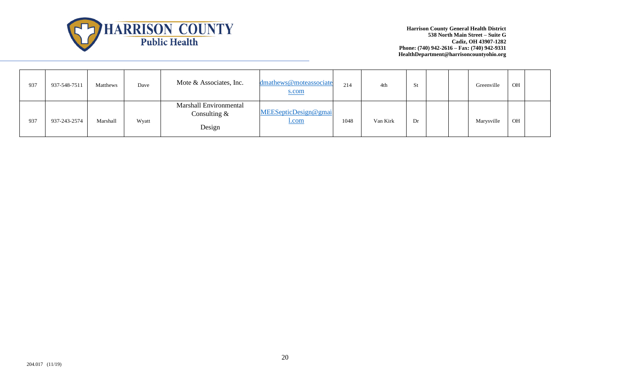

| 937 | 937-548-7511 | Matthews | Dave  | Mote & Associates, Inc.                            | dmathews@moteassociate<br>s.com      | 214  | 4th      | St |  | Greenville | OH |  |
|-----|--------------|----------|-------|----------------------------------------------------|--------------------------------------|------|----------|----|--|------------|----|--|
| 937 | 937-243-2574 | Marshall | Wyatt | Marshall Environmental<br>Consulting $&$<br>Design | MEESepticDesign@gmai<br><u>l.com</u> | 1048 | Van Kirk | Dr |  | Marysville | OH |  |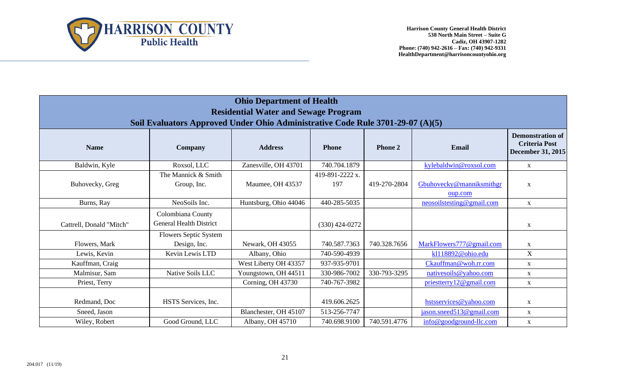

| <b>Ohio Department of Health</b>            |                                                                                |                       |                  |                |                           |                                                                             |  |  |  |  |
|---------------------------------------------|--------------------------------------------------------------------------------|-----------------------|------------------|----------------|---------------------------|-----------------------------------------------------------------------------|--|--|--|--|
| <b>Residential Water and Sewage Program</b> |                                                                                |                       |                  |                |                           |                                                                             |  |  |  |  |
|                                             | Soil Evaluators Approved Under Ohio Administrative Code Rule 3701-29-07 (A)(5) |                       |                  |                |                           |                                                                             |  |  |  |  |
| <b>Name</b>                                 | <b>Company</b>                                                                 | <b>Address</b>        | <b>Phone</b>     | <b>Phone 2</b> | <b>Email</b>              | <b>Demonstration of</b><br><b>Criteria Post</b><br><b>December 31, 2015</b> |  |  |  |  |
| Baldwin, Kyle                               | Roxsol, LLC                                                                    | Zanesville, OH 43701  | 740.704.1879     |                | kylebaldwin@roxsol.com    | $\mathbf X$                                                                 |  |  |  |  |
|                                             | The Mannick & Smith                                                            |                       | 419-891-2222 x.  |                |                           |                                                                             |  |  |  |  |
| Buhovecky, Greg                             | Group, Inc.                                                                    | Maumee, OH 43537      | 197              | 419-270-2804   | Gbuhovecky@manniksmithgr  | $\mathbf X$                                                                 |  |  |  |  |
|                                             |                                                                                |                       |                  |                | oup.com                   |                                                                             |  |  |  |  |
| Burns, Ray                                  | NeoSoils Inc.                                                                  | Huntsburg, Ohio 44046 | 440-285-5035     |                | neosoilstesting@gmail.com | $\mathbf X$                                                                 |  |  |  |  |
| Cattrell, Donald "Mitch"                    | Colombiana County<br><b>General Health District</b>                            |                       | $(330)$ 424-0272 |                |                           | $\mathbf X$                                                                 |  |  |  |  |
|                                             | <b>Flowers Septic System</b>                                                   |                       |                  |                |                           |                                                                             |  |  |  |  |
| Flowers, Mark                               | Design, Inc.                                                                   | Newark, OH 43055      | 740.587.7363     | 740.328.7656   | MarkFlowers777@gmail.com  | $\mathbf X$                                                                 |  |  |  |  |
| Lewis, Kevin                                | Kevin Lewis LTD                                                                | Albany, Ohio          | 740-590-4939     |                | kl118892@ohio.edu         | X                                                                           |  |  |  |  |
| Kauffman, Craig                             |                                                                                | West Liberty OH 43357 | 937-935-9701     |                | Ckauffman@woh.rr.com      | $\mathbf X$                                                                 |  |  |  |  |
| Malmisur, Sam                               | Native Soils LLC                                                               | Youngstown, OH 44511  | 330-986-7002     | 330-793-3295   | nativesoils@yahoo.com     | $\mathbf X$                                                                 |  |  |  |  |
| Priest, Terry                               |                                                                                | Corning, OH 43730     | 740-767-3982     |                | priesttery 12@gmail.com   | $\mathbf X$                                                                 |  |  |  |  |
| Redmand, Doc                                | HSTS Services, Inc.                                                            |                       | 419.606.2625     |                | hstsservices@yahoo.com    | $\mathbf X$                                                                 |  |  |  |  |
| Sneed, Jason                                |                                                                                | Blanchester, OH 45107 | 513-256-7747     |                | jason.sneed513@gmail.com  | $\mathbf X$                                                                 |  |  |  |  |
| Wiley, Robert                               | Good Ground, LLC                                                               | Albany, OH 45710      | 740.698.9100     | 740.591.4776   | info@goodground-llc.com   | $\mathbf{X}$                                                                |  |  |  |  |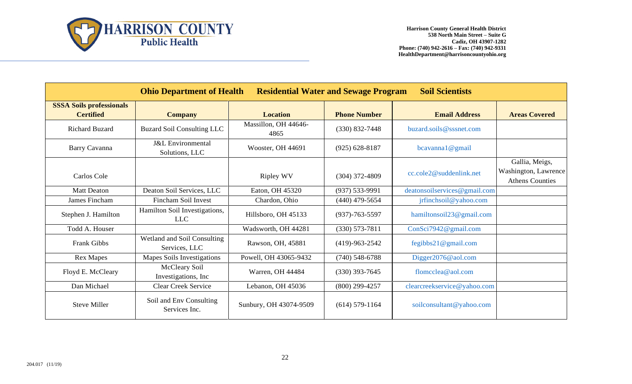

|                                                     | <b>Ohio Department of Health</b>               | <b>Residential Water and Sewage Program</b> |                      | <b>Soil Scientists</b>       |                                                                  |
|-----------------------------------------------------|------------------------------------------------|---------------------------------------------|----------------------|------------------------------|------------------------------------------------------------------|
| <b>SSSA Soils professionals</b><br><b>Certified</b> | <b>Company</b>                                 | <b>Location</b>                             | <b>Phone Number</b>  | <b>Email Address</b>         | <b>Areas Covered</b>                                             |
| <b>Richard Buzard</b>                               | <b>Buzard Soil Consulting LLC</b>              | Massillon, OH 44646-<br>4865                | $(330) 832 - 7448$   | buzard.soils@sssnet.com      |                                                                  |
| Barry Cavanna                                       | <b>J&amp;L</b> Environmental<br>Solutions, LLC | Wooster, OH 44691                           | $(925) 628 - 8187$   | bcavanna1@gmail              |                                                                  |
| Carlos Cole                                         |                                                | <b>Ripley WV</b>                            | $(304)$ 372-4809     | cc.cole2@suddenlink.net      | Gallia, Meigs,<br>Washington, Lawrence<br><b>Athens Counties</b> |
| <b>Matt Deaton</b>                                  | Deaton Soil Services, LLC                      | Eaton, OH 45320                             | $(937) 533 - 9991$   | deatonsoilservices@gmail.com |                                                                  |
| James Fincham                                       | <b>Fincham Soil Invest</b>                     | Chardon, Ohio                               | $(440)$ 479-5654     | jrfinchsoil@yahoo.com        |                                                                  |
| Stephen J. Hamilton                                 | Hamilton Soil Investigations,<br><b>LLC</b>    | Hillsboro, OH 45133                         | $(937) - 763 - 5597$ | hamiltonsoil23@gmail.com     |                                                                  |
| Todd A. Houser                                      |                                                | Wadsworth, OH 44281                         | $(330) 573 - 7811$   | ConSci7942@gmail.com         |                                                                  |
| Frank Gibbs                                         | Wetland and Soil Consulting<br>Services, LLC   | Rawson, OH, 45881                           | $(419)-963-2542$     | fegibbs21@gmail.com          |                                                                  |
| <b>Rex Mapes</b>                                    | <b>Mapes Soils Investigations</b>              | Powell, OH 43065-9432                       | $(740)$ 548-6788     | Digger2076@aol.com           |                                                                  |
| Floyd E. McCleary                                   | McCleary Soil<br>Investigations, Inc.          | Warren, OH 44484                            | $(330)$ 393-7645     | flomcclea@aol.com            |                                                                  |
| Dan Michael                                         | <b>Clear Creek Service</b>                     | Lebanon, OH 45036                           | $(800)$ 299-4257     | clearcreekservice@yahoo.com  |                                                                  |
| <b>Steve Miller</b>                                 | Soil and Env Consulting<br>Services Inc.       | Sunbury, OH 43074-9509                      | $(614)$ 579-1164     | soilconsultant@yahoo.com     |                                                                  |